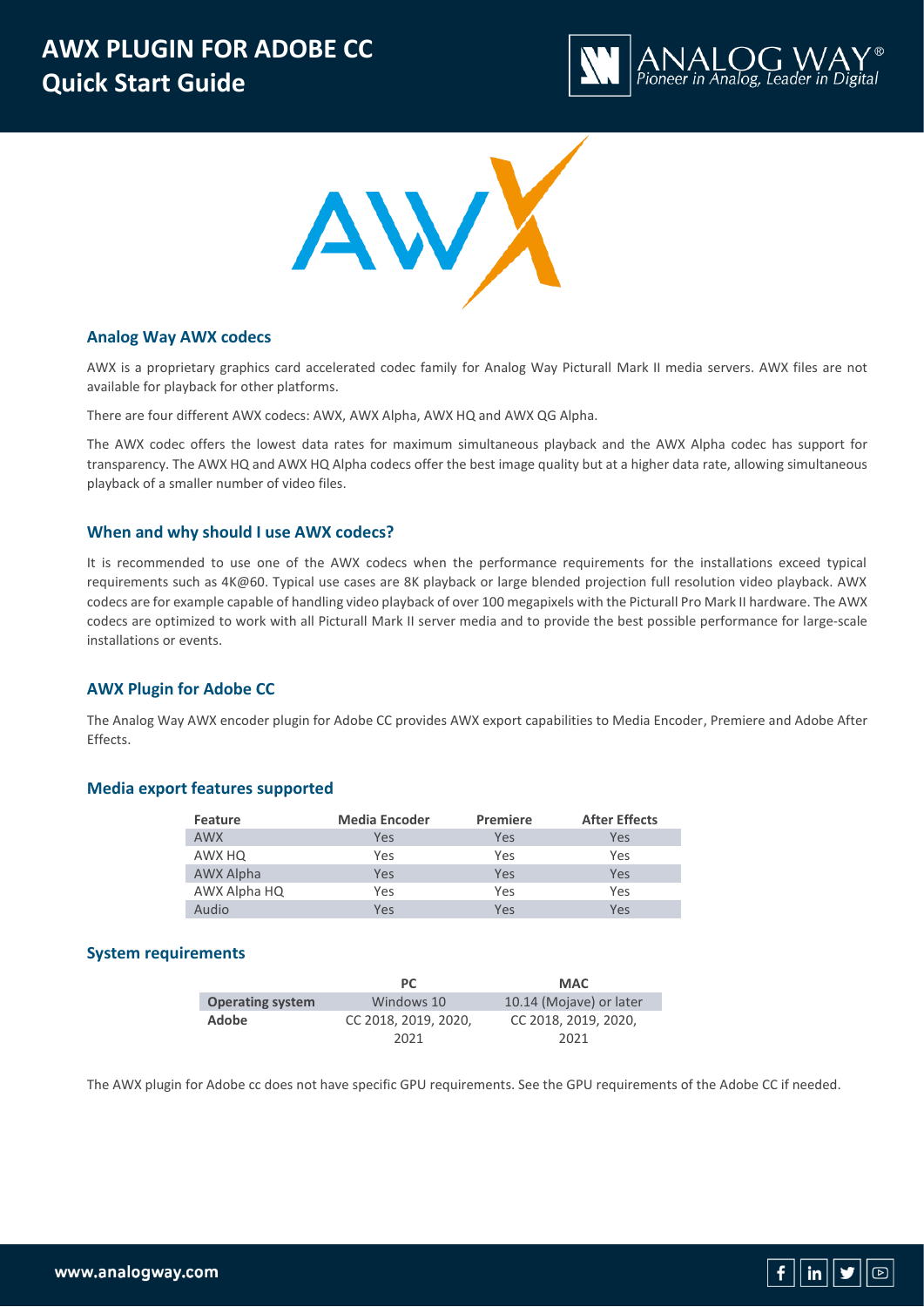



## **Analog Way AWX codecs**

AWX is a proprietary graphics card accelerated codec family for Analog Way Picturall Mark II media servers. AWX files are not available for playback for other platforms.

There are four different AWX codecs: AWX, AWX Alpha, AWX HQ and AWX QG Alpha.

The AWX codec offers the lowest data rates for maximum simultaneous playback and the AWX Alpha codec has support for transparency. The AWX HQ and AWX HQ Alpha codecs offer the best image quality but at a higher data rate, allowing simultaneous playback of a smaller number of video files.

#### **When and why should I use AWX codecs?**

It is recommended to use one of the AWX codecs when the performance requirements for the installations exceed typical requirements such as 4K@60. Typical use cases are 8K playback or large blended projection full resolution video playback. AWX codecs are for example capable of handling video playback of over 100 megapixels with the Picturall Pro Mark II hardware. The AWX codecs are optimized to work with all Picturall Mark II server media and to provide the best possible performance for large-scale installations or events.

## **AWX Plugin for Adobe CC**

The Analog Way AWX encoder plugin for Adobe CC provides AWX export capabilities to Media Encoder, Premiere and Adobe After Effects.

### **Media export features supported**

| Feature          | <b>Media Encoder</b> | <b>Premiere</b> | <b>After Effects</b> |
|------------------|----------------------|-----------------|----------------------|
| <b>AWX</b>       | Yes                  | Yes             | Yes                  |
| AWX HQ           | Yes                  | Yes             | Yes                  |
| <b>AWX Alpha</b> | <b>Yes</b>           | Yes             | Yes                  |
| AWX Alpha HQ     | <b>Yes</b>           | Yes             | Yes                  |
| Audio            | Yes                  | Yes             | Yes                  |

#### **System requirements**

|                         | <b>PC</b>            | <b>MAC</b>              |
|-------------------------|----------------------|-------------------------|
| <b>Operating system</b> | Windows 10           | 10.14 (Mojave) or later |
| Adobe                   | CC 2018, 2019, 2020, | CC 2018, 2019, 2020,    |
|                         | 2021                 | 2021                    |

The AWX plugin for Adobe cc does not have specific GPU requirements. See the GPU requirements of the Adobe CC if needed.